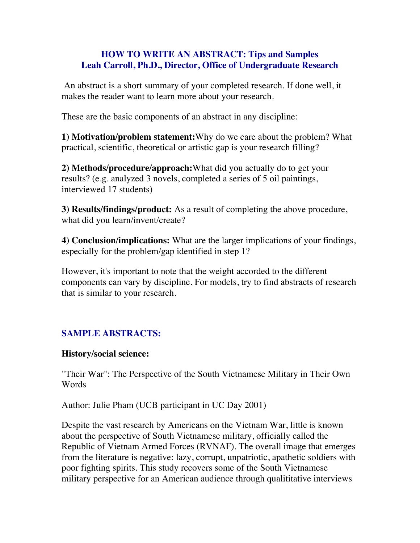## **HOW TO WRITE AN ABSTRACT: Tips and Samples Leah Carroll, Ph.D., Director, Office of Undergraduate Research**

An abstract is a short summary of your completed research. If done well, it makes the reader want to learn more about your research.

These are the basic components of an abstract in any discipline:

**1) Motivation/problem statement:**Why do we care about the problem? What practical, scientific, theoretical or artistic gap is your research filling?

**2) Methods/procedure/approach:**What did you actually do to get your results? (e.g. analyzed 3 novels, completed a series of 5 oil paintings, interviewed 17 students)

**3) Results/findings/product:** As a result of completing the above procedure, what did you learn/invent/create?

**4) Conclusion/implications:** What are the larger implications of your findings, especially for the problem/gap identified in step 1?

However, it's important to note that the weight accorded to the different components can vary by discipline. For models, try to find abstracts of research that is similar to your research.

# **SAMPLE ABSTRACTS:**

## **History/social science:**

"Their War": The Perspective of the South Vietnamese Military in Their Own Words

Author: Julie Pham (UCB participant in UC Day 2001)

Despite the vast research by Americans on the Vietnam War, little is known about the perspective of South Vietnamese military, officially called the Republic of Vietnam Armed Forces (RVNAF). The overall image that emerges from the literature is negative: lazy, corrupt, unpatriotic, apathetic soldiers with poor fighting spirits. This study recovers some of the South Vietnamese military perspective for an American audience through qualititative interviews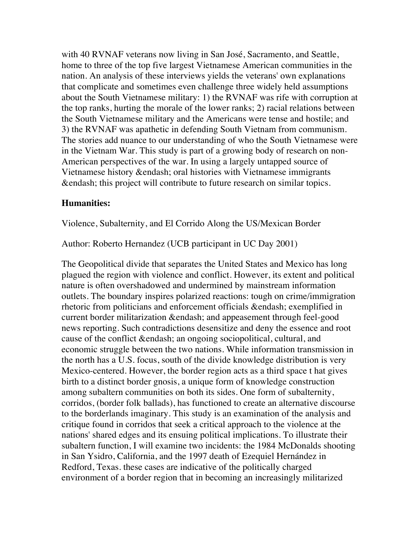with 40 RVNAF veterans now living in San José, Sacramento, and Seattle, home to three of the top five largest Vietnamese American communities in the nation. An analysis of these interviews yields the veterans' own explanations that complicate and sometimes even challenge three widely held assumptions about the South Vietnamese military: 1) the RVNAF was rife with corruption at the top ranks, hurting the morale of the lower ranks; 2) racial relations between the South Vietnamese military and the Americans were tense and hostile; and 3) the RVNAF was apathetic in defending South Vietnam from communism. The stories add nuance to our understanding of who the South Vietnamese were in the Vietnam War. This study is part of a growing body of research on non-American perspectives of the war. In using a largely untapped source of Vietnamese history &endash; oral histories with Vietnamese immigrants &endash; this project will contribute to future research on similar topics.

#### **Humanities:**

Violence, Subalternity, and El Corrido Along the US/Mexican Border

Author: Roberto Hernandez (UCB participant in UC Day 2001)

The Geopolitical divide that separates the United States and Mexico has long plagued the region with violence and conflict. However, its extent and political nature is often overshadowed and undermined by mainstream information outlets. The boundary inspires polarized reactions: tough on crime/immigration rhetoric from politicians and enforcement officials &endash; exemplified in current border militarization &endash; and appeasement through feel-good news reporting. Such contradictions desensitize and deny the essence and root cause of the conflict &endash; an ongoing sociopolitical, cultural, and economic struggle between the two nations. While information transmission in the north has a U.S. focus, south of the divide knowledge distribution is very Mexico-centered. However, the border region acts as a third space t hat gives birth to a distinct border gnosis, a unique form of knowledge construction among subaltern communities on both its sides. One form of subalternity, corridos, (border folk ballads), has functioned to create an alternative discourse to the borderlands imaginary. This study is an examination of the analysis and critique found in corridos that seek a critical approach to the violence at the nations' shared edges and its ensuing political implications. To illustrate their subaltern function, I will examine two incidents: the 1984 McDonalds shooting in San Ysidro, California, and the 1997 death of Ezequiel Hernández in Redford, Texas. these cases are indicative of the politically charged environment of a border region that in becoming an increasingly militarized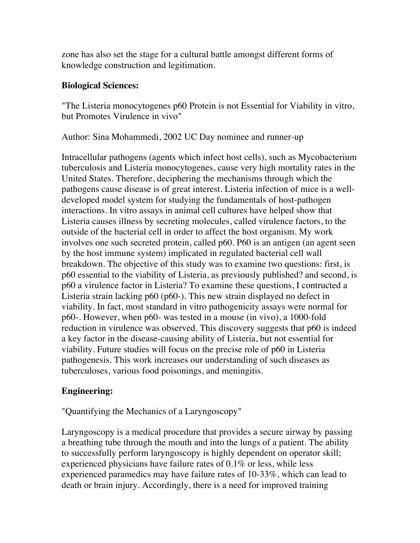zone has also set the stage for a cultural battle amongst different forms of knowledge construction and legitimation.

### **Biological Sciences:**

"The Listeria monocytogenes p60 Protein is not Essential for Viability in vitro, but Promotes Virulence in vivo"

Author: Sina Mohammedi, 2002 UC Day nominee and runner-up

Intracellular pathogens (agents which infect host cells), such as Mycobacterium tuberculosis and Listeria monocytogenes, cause very high mortality rates in the United States. Therefore, deciphering the mechanisms through which the pathogens cause disease is of great interest. Listeria infection of mice is a welldeveloped model system for studying the fundamentals of host-pathogen interactions. In vitro assays in animal cell cultures have helped show that Listeria causes illness by secreting molecules, called virulence factors, to the outside of the bacterial cell in order to affect the host organism. My work involves one such secreted protein, called p60. P60 is an antigen (an agent seen by the host immune system) implicated in regulated bacterial cell wall breakdown. The objective of this study was to examine two questions: first, is p60 essential to the viability of Listeria, as previously published? and second, is p60 a virulence factor in Listeria? To examine these questions, I contructed a Listeria strain lacking p60 (p60-). This new strain displayed no defect in viability. In fact, most standard in vitro pathogenicity assays were normal for p60-. However, when p60- was tested in a mouse (in vivo), a 1000-fold reduction in virulence was observed. This discovery suggests that p60 is indeed a key factor in the disease-causing ability of Listeria, but not essential for viability. Future studies will focus on the precise role of p60 in Listeria pathogenesis. This work increases our understanding of such diseases as tuberculoses, various food poisonings, and meningitis.

## **Engineering:**

"Quantifying the Mechanics of a Laryngoscopy"

Laryngoscopy is a medical procedure that provides a secure airway by passing a breathing tube through the mouth and into the lungs of a patient. The ability to successfully perform laryngoscopy is highly dependent on operator skill; experienced physicians have failure rates of 0.1% or less, while less experienced paramedics may have failure rates of 10-33%, which can lead to death or brain injury. Accordingly, there is a need for improved training